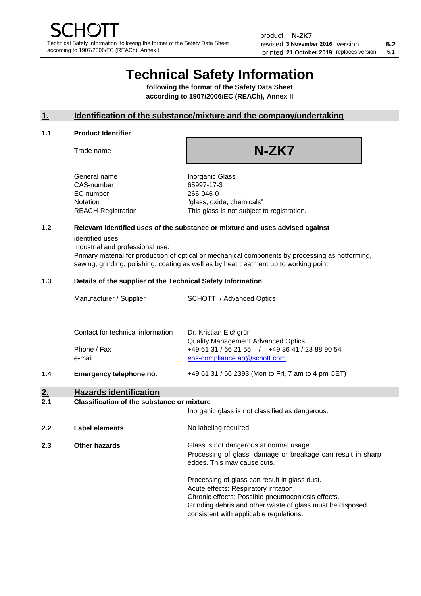# **Technical Safety Information**

**following the format of the Safety Data Sheet according to 1907/2006/EC (REACh), Annex II**

# **1. Identification of the substance/mixture and the company/undertaking**

#### **1.1 Product Identifier**

Trade name

# **N-ZK7**

General name **Inorganic Glass** CAS-number 65997-17-3 EC-number 266-046-0

Notation "glass, oxide, chemicals" REACH-Registration This glass is not subject to registration.

# **1.2 Relevant identified uses of the substance or mixture and uses advised against**

identified uses:

Industrial and professional use:

Primary material for production of optical or mechanical components by processing as hotforming, sawing, grinding, polishing, coating as well as by heat treatment up to working point.

#### **1.3 Details of the supplier of the Technical Safety Information**

| Manufacturer / Supplier           | <b>SCHOTT</b> / Advanced Optics                                                |
|-----------------------------------|--------------------------------------------------------------------------------|
|                                   |                                                                                |
| Contact for technical information | Dr. Kristian Eichgrün<br><b>Quality Management Advanced Optics</b>             |
| Phone / Fax<br>e-mail             | +49 61 31 / 66 21 55 / +49 36 41 / 28 88 90 54<br>ehs-compliance.ao@schott.com |

**1.4 Emergency telephone no.** +49 61 31 / 66 2393 (Mon to Fri, 7 am to 4 pm CET)

# **2. Hazards identification**

#### **2.1 Classification of the substance or mixture**

Inorganic glass is not classified as dangerous.

**2.2 Label elements No labeling required.** 

**2.3 Other hazards Glass is not dangerous at normal usage.** Processing of glass, damage or breakage can result in sharp edges. This may cause cuts.

> Processing of glass can result in glass dust. Acute effects: Respiratory irritation. Chronic effects: Possible pneumoconiosis effects. Grinding debris and other waste of glass must be disposed consistent with applicable regulations.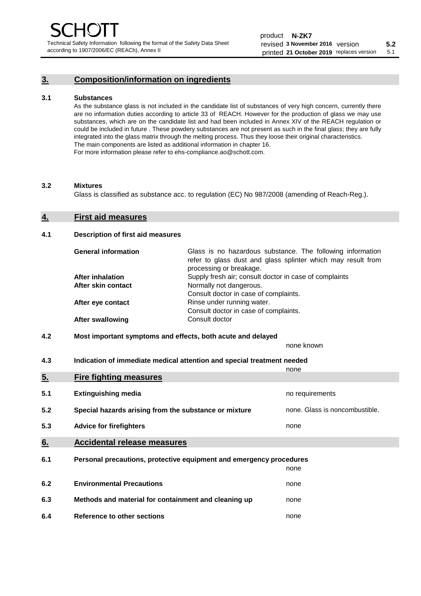# **3. Composition/information on ingredients**

#### **3.1 Substances**

As the substance glass is not included in the candidate list of substances of very high concern, currently there are no information duties according to article 33 of REACH. However for the production of glass we may use substances, which are on the candidate list and had been included in Annex XIV of the REACH regulation or could be included in future . These powdery substances are not present as such in the final glass; they are fully integrated into the glass matrix through the melting process. Thus they loose their original characteristics. The main components are listed as additional information in chapter 16. For more information please refer to ehs-compliance.ao@schott.com.

#### **3.2 Mixtures**

Glass is classified as substance acc. to regulation (EC) No 987/2008 (amending of Reach-Reg.).

#### **4. First aid measures**

#### **4.1 Description of first aid measures**

| <b>General information</b> | Glass is no hazardous substance. The following information<br>refer to glass dust and glass splinter which may result from<br>processing or breakage. |
|----------------------------|-------------------------------------------------------------------------------------------------------------------------------------------------------|
| <b>After inhalation</b>    | Supply fresh air; consult doctor in case of complaints                                                                                                |
| After skin contact         | Normally not dangerous.                                                                                                                               |
|                            | Consult doctor in case of complaints.                                                                                                                 |
| After eye contact          | Rinse under running water.                                                                                                                            |
|                            | Consult doctor in case of complaints.                                                                                                                 |
| <b>After swallowing</b>    | Consult doctor                                                                                                                                        |

### **4.2 Most important symptoms and effects, both acute and delayed**

none known

**4.3 Indication of immediate medical attention and special treatment needed** 

|     |                                                                     | none                           |
|-----|---------------------------------------------------------------------|--------------------------------|
| 5.  | <b>Fire fighting measures</b>                                       |                                |
| 5.1 | <b>Extinguishing media</b>                                          | no requirements                |
| 5.2 | Special hazards arising from the substance or mixture               | none. Glass is noncombustible. |
| 5.3 | <b>Advice for firefighters</b>                                      | none                           |
| 6.  | <b>Accidental release measures</b>                                  |                                |
| 6.1 | Personal precautions, protective equipment and emergency procedures |                                |
|     |                                                                     | none                           |
| 6.2 | <b>Environmental Precautions</b>                                    | none                           |
| 6.3 | Methods and material for containment and cleaning up                | none                           |
| 6.4 | Reference to other sections                                         | none                           |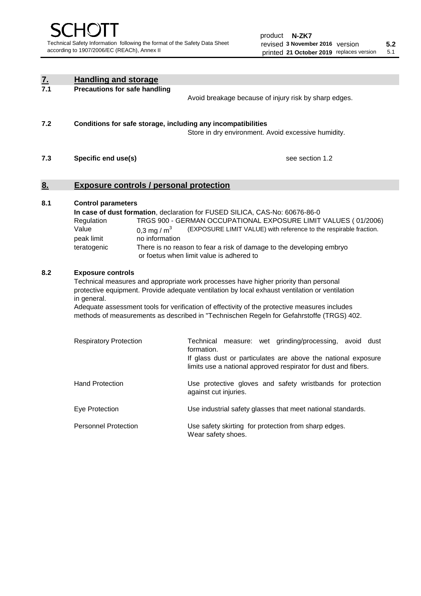| $\frac{7}{7.1}$ | <b>Handling and storage</b>                                                                                                                                                                                                                                                                                                                                                                                                    |                                                                                                                                                                                                                                                                                                                                        |  |  |
|-----------------|--------------------------------------------------------------------------------------------------------------------------------------------------------------------------------------------------------------------------------------------------------------------------------------------------------------------------------------------------------------------------------------------------------------------------------|----------------------------------------------------------------------------------------------------------------------------------------------------------------------------------------------------------------------------------------------------------------------------------------------------------------------------------------|--|--|
|                 | <b>Precautions for safe handling</b><br>Avoid breakage because of injury risk by sharp edges.                                                                                                                                                                                                                                                                                                                                  |                                                                                                                                                                                                                                                                                                                                        |  |  |
| 7.2             | Conditions for safe storage, including any incompatibilities                                                                                                                                                                                                                                                                                                                                                                   | Store in dry environment. Avoid excessive humidity.                                                                                                                                                                                                                                                                                    |  |  |
| 7.3             | see section 1.2<br>Specific end use(s)                                                                                                                                                                                                                                                                                                                                                                                         |                                                                                                                                                                                                                                                                                                                                        |  |  |
| 8.              | <b>Exposure controls / personal protection</b>                                                                                                                                                                                                                                                                                                                                                                                 |                                                                                                                                                                                                                                                                                                                                        |  |  |
| 8.1             | <b>Control parameters</b><br>Regulation<br>Value<br>0,3 mg / $m3$<br>peak limit<br>no information<br>teratogenic                                                                                                                                                                                                                                                                                                               | In case of dust formation, declaration for FUSED SILICA, CAS-No: 60676-86-0<br>TRGS 900 - GERMAN OCCUPATIONAL EXPOSURE LIMIT VALUES (01/2006)<br>(EXPOSURE LIMIT VALUE) with reference to the respirable fraction.<br>There is no reason to fear a risk of damage to the developing embryo<br>or foetus when limit value is adhered to |  |  |
| 8.2             | <b>Exposure controls</b><br>Technical measures and appropriate work processes have higher priority than personal<br>protective equipment. Provide adequate ventilation by local exhaust ventilation or ventilation<br>in general.<br>Adequate assessment tools for verification of effectivity of the protective measures includes<br>methods of measurements as described in "Technischen Regeln for Gefahrstoffe (TRGS) 402. |                                                                                                                                                                                                                                                                                                                                        |  |  |
|                 | <b>Respiratory Protection</b>                                                                                                                                                                                                                                                                                                                                                                                                  | Technical measure: wet grinding/processing, avoid dust<br>formation.<br>If glass dust or particulates are above the national exposure<br>limits use a national approved respirator for dust and fibers.                                                                                                                                |  |  |
|                 | <b>Hand Protection</b>                                                                                                                                                                                                                                                                                                                                                                                                         | Use protective gloves and safety wristbands for protection<br>against cut injuries.                                                                                                                                                                                                                                                    |  |  |
|                 | Eye Protection                                                                                                                                                                                                                                                                                                                                                                                                                 | Use industrial safety glasses that meet national standards.                                                                                                                                                                                                                                                                            |  |  |
|                 | <b>Personnel Protection</b>                                                                                                                                                                                                                                                                                                                                                                                                    | Use safety skirting for protection from sharp edges.<br>Wear safety shoes.                                                                                                                                                                                                                                                             |  |  |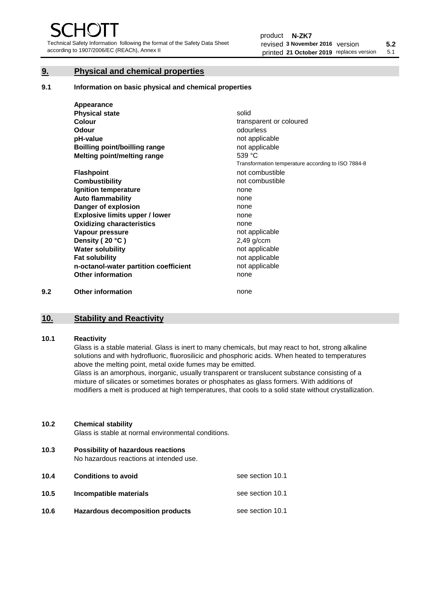Technical Safety Information following the format of the Safety Data Sheet according to 1907/2006/EC (REACh), Annex II

# **9. Physical and chemical properties**

**9.1 Information on basic physical and chemical properties**

|     | Appearance                            |                                                    |
|-----|---------------------------------------|----------------------------------------------------|
|     | <b>Physical state</b>                 | solid                                              |
|     | <b>Colour</b>                         | transparent or coloured                            |
|     | Odour                                 | odourless                                          |
|     | pH-value                              | not applicable                                     |
|     | <b>Boilling point/boilling range</b>  | not applicable                                     |
|     | Melting point/melting range           | 539 °C                                             |
|     |                                       | Transformation temperature according to ISO 7884-8 |
|     | <b>Flashpoint</b>                     | not combustible                                    |
|     | <b>Combustibility</b>                 | not combustible                                    |
|     | Ignition temperature                  | none                                               |
|     | <b>Auto flammability</b>              | none                                               |
|     | Danger of explosion                   | none                                               |
|     | <b>Explosive limits upper / lower</b> | none                                               |
|     | <b>Oxidizing characteristics</b>      | none                                               |
|     | Vapour pressure                       | not applicable                                     |
|     | Density (20 °C)                       | $2,49$ g/ccm                                       |
|     | <b>Water solubility</b>               | not applicable                                     |
|     | <b>Fat solubility</b>                 | not applicable                                     |
|     | n-octanol-water partition coefficient | not applicable                                     |
|     | <b>Other information</b>              | none                                               |
| 9.2 | <b>Other information</b>              | none                                               |

# **10. Stability and Reactivity**

#### **10.1 Reactivity**

Glass is a stable material. Glass is inert to many chemicals, but may react to hot, strong alkaline solutions and with hydrofluoric, fluorosilicic and phosphoric acids. When heated to temperatures above the melting point, metal oxide fumes may be emitted.

Glass is an amorphous, inorganic, usually transparent or translucent substance consisting of a mixture of silicates or sometimes borates or phosphates as glass formers. With additions of modifiers a melt is produced at high temperatures, that cools to a solid state without crystallization.

### **10.2 Chemical stability**

Glass is stable at normal environmental conditions.

**10.3 Possibility of hazardous reactions** 

No hazardous reactions at intended use.

| 10.4 | <b>Conditions to avoid</b>       | see section 10.1 |
|------|----------------------------------|------------------|
| 10.5 | Incompatible materials           | see section 10.1 |
| 10.6 | Hazardous decomposition products | see section 10.1 |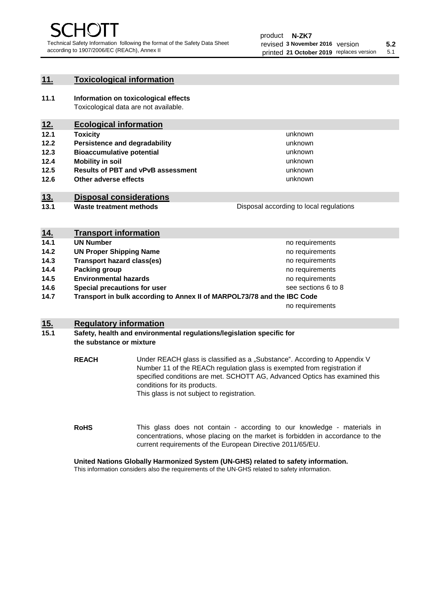unknown unknown unknown

unknown unknown unknown

Disposal according to local regulations

# **11. Toxicological information**

**11.1 Information on toxicological effects** Toxicological data are not available.

# **12. Ecological information**

- **12.1 Toxicity**
- **12.2 Persistence and degradability**
- **12.3 Bioaccumulative potential**
- **12.4 Mobility in soil**
- **12.5 Results of PBT and vPvB assessment**
- **12.6 Other adverse effects**

# **13. Disposal considerations**

**13.1 Waste treatment methods**

| <u>14.</u> | <b>Transport information</b>                                            |                     |
|------------|-------------------------------------------------------------------------|---------------------|
| 14.1       | <b>UN Number</b>                                                        | no requirements     |
| 14.2       | <b>UN Proper Shipping Name</b>                                          | no requirements     |
| 14.3       | <b>Transport hazard class(es)</b>                                       | no requirements     |
| 14.4       | Packing group                                                           | no requirements     |
| 14.5       | <b>Environmental hazards</b>                                            | no requirements     |
| 14.6       | Special precautions for user                                            | see sections 6 to 8 |
| 14.7       | Transport in bulk according to Annex II of MARPOL73/78 and the IBC Code |                     |
|            |                                                                         | no requirements     |

# **15. Regulatory information**

### **15.1 Safety, health and environmental regulations/legislation specific for the substance or mixture**

**REACH** Under REACH glass is classified as a "Substance". According to Appendix V Number 11 of the REACh regulation glass is exempted from registration if specified conditions are met. SCHOTT AG, Advanced Optics has examined this conditions for its products. This glass is not subject to registration.

**RoHS** This glass does not contain - according to our knowledge - materials in concentrations, whose placing on the market is forbidden in accordance to the current requirements of the European Directive 2011/65/EU.

**United Nations Globally Harmonized System (UN-GHS) related to safety information.**

This information considers also the requirements of the UN-GHS related to safety information.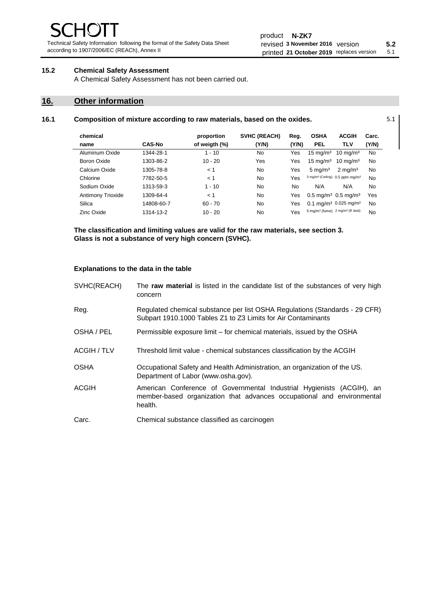Technical Safety Information following the format of the Safety Data Sheet according to 1907/2006/EC (REACh), Annex II

# **15.2 Chemical Safety Assessment**

A Chemical Safety Assessment has not been carried out.

# **16. Other information**

#### **16.1 Composition of mixture according to raw materials, based on the oxides.** 5.1

|               | proportion    | <b>SVHC (REACH)</b> | Reg.  | <b>OSHA</b>         | <b>ACGIH</b>        | Carc.                                                                                                                                                                                                             |
|---------------|---------------|---------------------|-------|---------------------|---------------------|-------------------------------------------------------------------------------------------------------------------------------------------------------------------------------------------------------------------|
| <b>CAS-No</b> | of weigth (%) | (Y/N)               | (Y/N) | <b>PEL</b>          | <b>TLV</b>          | (Y/N)                                                                                                                                                                                                             |
| 1344-28-1     | $1 - 10$      | No                  | Yes   | $15 \text{ mg/m}^3$ | $10 \text{ mg/m}^3$ | No                                                                                                                                                                                                                |
| 1303-86-2     | $10 - 20$     | Yes                 | Yes   | $15 \text{ mg/m}^3$ | $10 \text{ mg/m}^3$ | No                                                                                                                                                                                                                |
| 1305-78-8     | < 1           | No                  | Yes   | $5 \text{ mg/m}^3$  | $2 \text{ mg/m}^3$  | No                                                                                                                                                                                                                |
| 7782-50-5     | < 1           | No                  | Yes   |                     |                     | No                                                                                                                                                                                                                |
| 1313-59-3     | $1 - 10$      | No                  | No    | N/A                 | N/A                 | No                                                                                                                                                                                                                |
| 1309-64-4     | < 1           | No                  | Yes   |                     |                     | Yes                                                                                                                                                                                                               |
| 14808-60-7    | $60 - 70$     | No                  | Yes   |                     |                     | No                                                                                                                                                                                                                |
| 1314-13-2     | $10 - 20$     | No                  | Yes   |                     |                     | No                                                                                                                                                                                                                |
|               |               |                     |       |                     |                     | 3 mg/m <sup>3</sup> (Ceiling) 0.5 ppm mg/m <sup>3</sup><br>$0.5 \text{ mg/m}^3$ 0.5 mg/m <sup>3</sup><br>0.1 mg/m <sup>3</sup> 0.025 mg/m <sup>3</sup><br>5 mg/m <sup>3</sup> (fume) 2 mg/m <sup>3</sup> (R dust) |

**The classification and limiting values are valid for the raw materials, see section 3. Glass is not a substance of very high concern (SVHC).**

#### **Explanations to the data in the table**

| SVHC(REACH)  | The raw material is listed in the candidate list of the substances of very high<br>concern                                                                 |  |
|--------------|------------------------------------------------------------------------------------------------------------------------------------------------------------|--|
| Reg.         | Regulated chemical substance per list OSHA Regulations (Standards - 29 CFR)<br>Subpart 1910.1000 Tables Z1 to Z3 Limits for Air Contaminants               |  |
| OSHA / PEL   | Permissible exposure limit – for chemical materials, issued by the OSHA                                                                                    |  |
| ACGIH / TLV  | Threshold limit value - chemical substances classification by the ACGIH                                                                                    |  |
| <b>OSHA</b>  | Occupational Safety and Health Administration, an organization of the US.<br>Department of Labor (www.osha.gov).                                           |  |
| <b>ACGIH</b> | American Conference of Governmental Industrial Hygienists (ACGIH), an<br>member-based organization that advances occupational and environmental<br>health. |  |
| Carc.        | Chemical substance classified as carcinogen                                                                                                                |  |